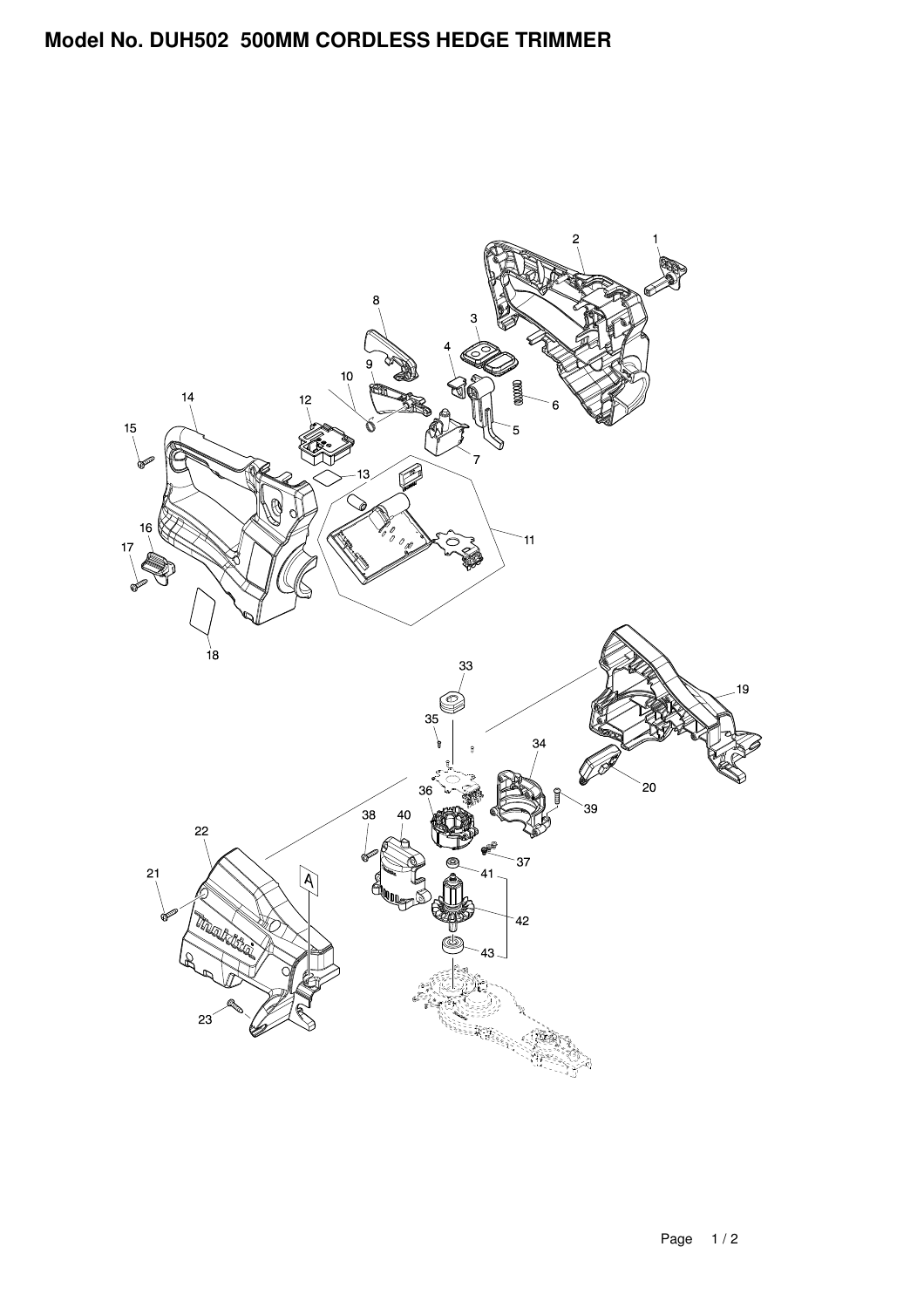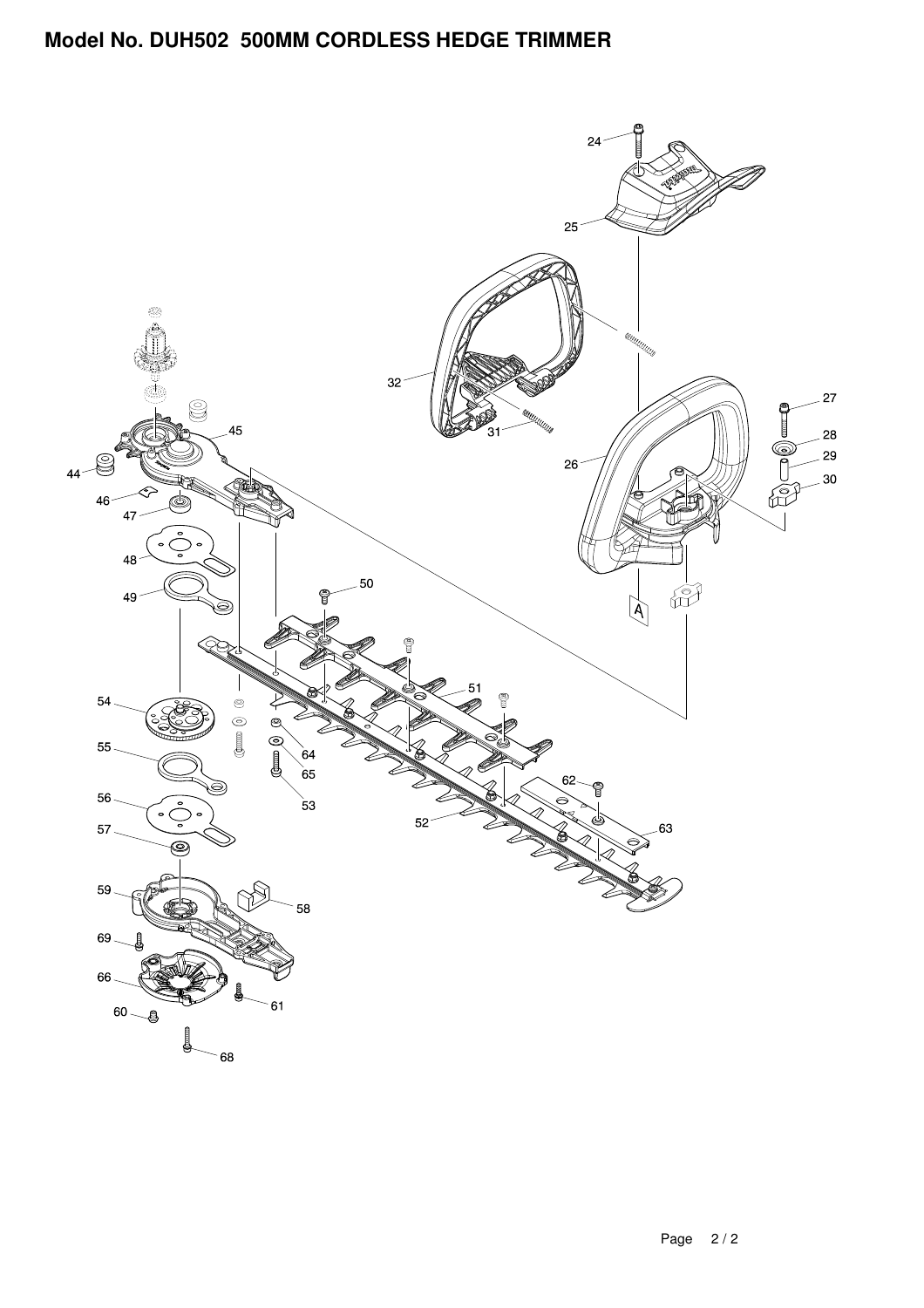## **Model No. DUH502 500MM CORDLESS HEDGE TRIMMER**

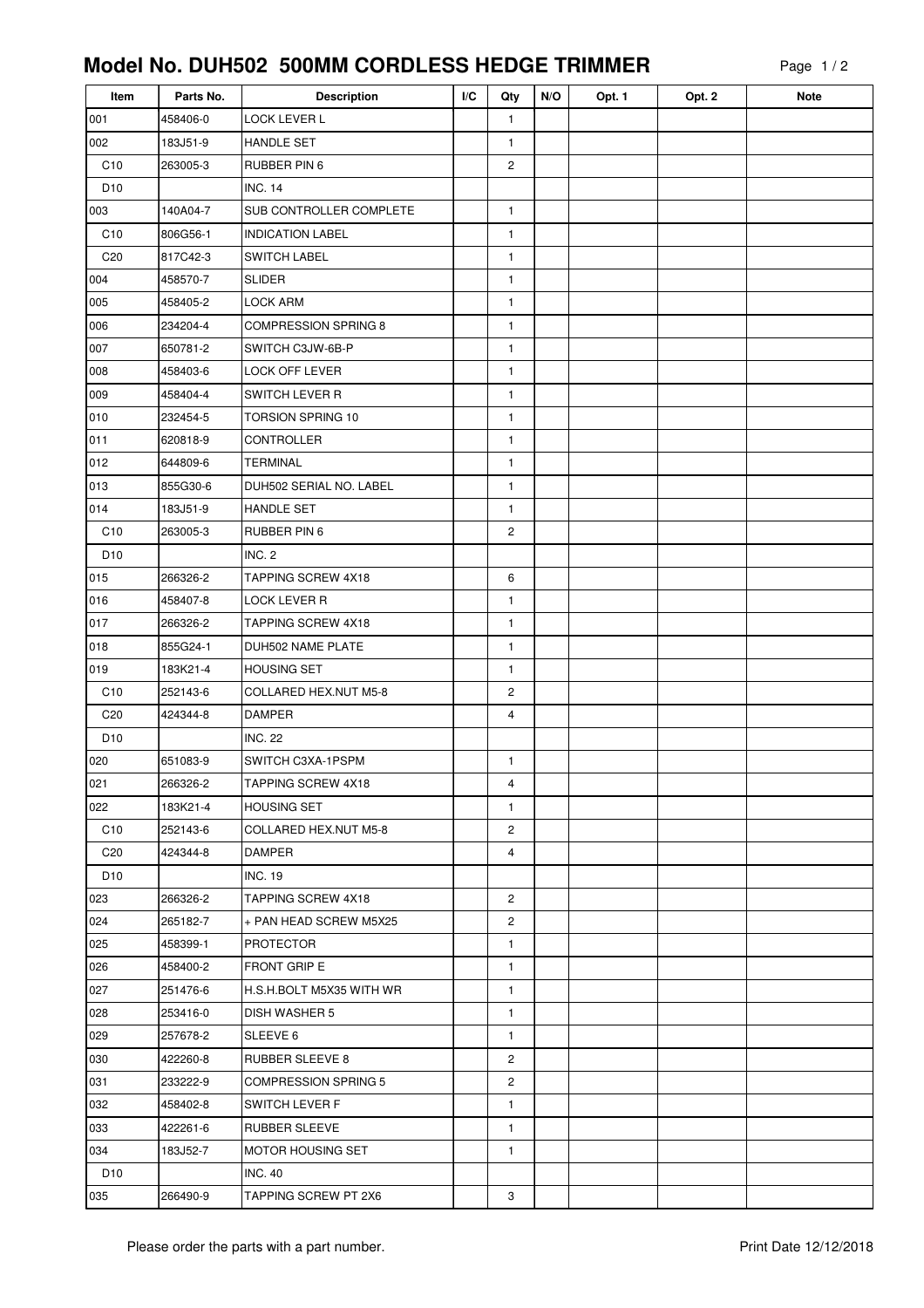## **Model No. DUH502 500MM CORDLESS HEDGE TRIMMER**

| Item            | Parts No. | <b>Description</b>           | I/C | Qty            | N/O | Opt. 1 | Opt. 2 | <b>Note</b> |
|-----------------|-----------|------------------------------|-----|----------------|-----|--------|--------|-------------|
| 001             | 458406-0  | LOCK LEVER L                 |     | $\mathbf{1}$   |     |        |        |             |
| 002             | 183J51-9  | <b>HANDLE SET</b>            |     | $\mathbf{1}$   |     |        |        |             |
| C10             | 263005-3  | RUBBER PIN 6                 |     | $\overline{c}$ |     |        |        |             |
| D <sub>10</sub> |           | <b>INC. 14</b>               |     |                |     |        |        |             |
| 003             | 140A04-7  | SUB CONTROLLER COMPLETE      |     | $\mathbf{1}$   |     |        |        |             |
| C10             | 806G56-1  | <b>INDICATION LABEL</b>      |     | $\mathbf{1}$   |     |        |        |             |
| C <sub>20</sub> | 817C42-3  | <b>SWITCH LABEL</b>          |     | $\mathbf{1}$   |     |        |        |             |
| 004             | 458570-7  | <b>SLIDER</b>                |     | $\mathbf{1}$   |     |        |        |             |
| 005             | 458405-2  | <b>LOCK ARM</b>              |     | $\mathbf{1}$   |     |        |        |             |
| 006             | 234204-4  | <b>COMPRESSION SPRING 8</b>  |     | $\mathbf{1}$   |     |        |        |             |
| 007             | 650781-2  | SWITCH C3JW-6B-P             |     | $\mathbf{1}$   |     |        |        |             |
| 008             | 458403-6  | LOCK OFF LEVER               |     | $\mathbf{1}$   |     |        |        |             |
| 009             | 458404-4  | <b>SWITCH LEVER R</b>        |     | $\mathbf{1}$   |     |        |        |             |
| 010             | 232454-5  | TORSION SPRING 10            |     | $\mathbf{1}$   |     |        |        |             |
| 011             | 620818-9  | <b>CONTROLLER</b>            |     | $\mathbf{1}$   |     |        |        |             |
| 012             | 644809-6  | <b>TERMINAL</b>              |     | $\mathbf{1}$   |     |        |        |             |
| 013             | 855G30-6  | DUH502 SERIAL NO. LABEL      |     | $\mathbf{1}$   |     |        |        |             |
| 014             | 183J51-9  | HANDLE SET                   |     | $\mathbf{1}$   |     |        |        |             |
| C10             | 263005-3  | RUBBER PIN 6                 |     | 2              |     |        |        |             |
| D <sub>10</sub> |           | INC. 2                       |     |                |     |        |        |             |
| 015             | 266326-2  | TAPPING SCREW 4X18           |     | 6              |     |        |        |             |
| 016             | 458407-8  | <b>LOCK LEVER R</b>          |     | $\mathbf{1}$   |     |        |        |             |
| 017             | 266326-2  | TAPPING SCREW 4X18           |     | $\mathbf{1}$   |     |        |        |             |
| 018             | 855G24-1  | DUH502 NAME PLATE            |     | $\mathbf{1}$   |     |        |        |             |
| 019             | 183K21-4  | <b>HOUSING SET</b>           |     | $\mathbf{1}$   |     |        |        |             |
| C10             | 252143-6  | <b>COLLARED HEX.NUT M5-8</b> |     | 2              |     |        |        |             |
| C <sub>20</sub> | 424344-8  | <b>DAMPER</b>                |     | 4              |     |        |        |             |
| D <sub>10</sub> |           | <b>INC. 22</b>               |     |                |     |        |        |             |
| 020             | 651083-9  | SWITCH C3XA-1PSPM            |     | $\mathbf{1}$   |     |        |        |             |
| 021             | 266326-2  | <b>TAPPING SCREW 4X18</b>    |     | 4              |     |        |        |             |
| 022             | 183K21-4  | <b>HOUSING SET</b>           |     | $\mathbf{1}$   |     |        |        |             |
| C <sub>10</sub> | 252143-6  | COLLARED HEX.NUT M5-8        |     | 2              |     |        |        |             |
| C20             | 424344-8  | <b>DAMPER</b>                |     | 4              |     |        |        |             |
| D <sub>10</sub> |           | <b>INC. 19</b>               |     |                |     |        |        |             |
| 023             | 266326-2  | TAPPING SCREW 4X18           |     | $\mathbf{2}$   |     |        |        |             |
| 024             | 265182-7  | + PAN HEAD SCREW M5X25       |     | 2              |     |        |        |             |
| 025             | 458399-1  | <b>PROTECTOR</b>             |     | $\mathbf{1}$   |     |        |        |             |
| 026             | 458400-2  | <b>FRONT GRIP E</b>          |     | $\mathbf{1}$   |     |        |        |             |
| 027             | 251476-6  | H.S.H.BOLT M5X35 WITH WR     |     | $\mathbf{1}$   |     |        |        |             |
| 028             | 253416-0  | <b>DISH WASHER 5</b>         |     | $\mathbf{1}$   |     |        |        |             |
| 029             | 257678-2  | SLEEVE 6                     |     | $\mathbf{1}$   |     |        |        |             |
| 030             | 422260-8  | <b>RUBBER SLEEVE 8</b>       |     | 2              |     |        |        |             |
| 031             | 233222-9  | <b>COMPRESSION SPRING 5</b>  |     | 2              |     |        |        |             |
| 032             | 458402-8  | <b>SWITCH LEVER F</b>        |     | $\mathbf{1}$   |     |        |        |             |
| 033             | 422261-6  | RUBBER SLEEVE                |     | $\mathbf{1}$   |     |        |        |             |
| 034             | 183J52-7  | MOTOR HOUSING SET            |     | $\mathbf{1}$   |     |        |        |             |
| D <sub>10</sub> |           | <b>INC. 40</b>               |     |                |     |        |        |             |
| 035             | 266490-9  | TAPPING SCREW PT 2X6         |     | 3              |     |        |        |             |